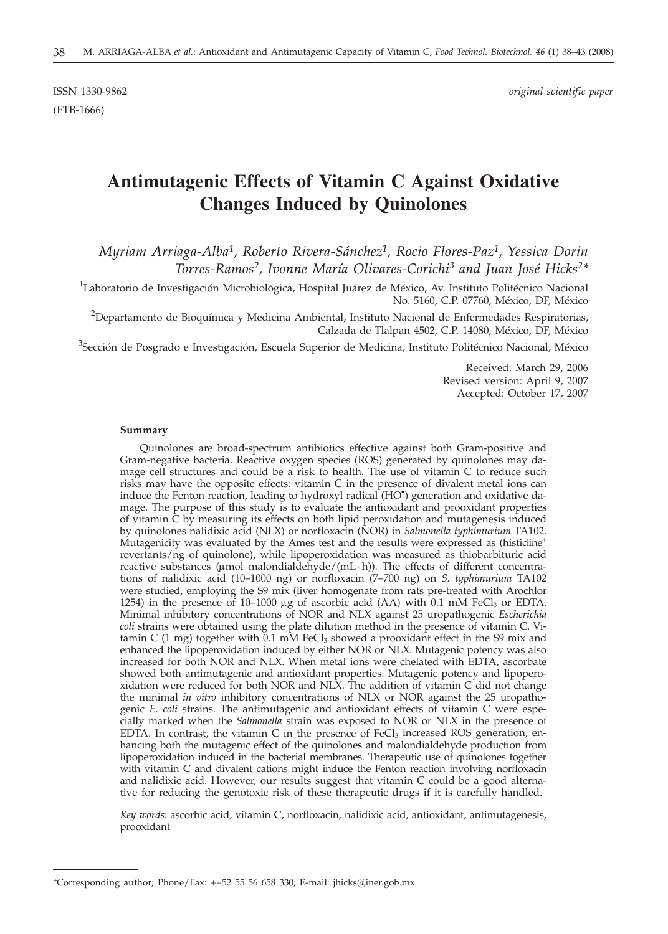(FTB-1666)

ISSN 1330-9862 *original scientific paper*

# **Antimutagenic Effects of Vitamin C Against Oxidative Changes Induced by Quinolones**

*Myriam Arriaga-Alba1, Roberto Rivera-Sánchez1, Rocio Flores-Paz1, Yessica Dorin Torres-Ramos2, Ivonne María Olivares-Corichi3 and Juan José Hicks2\**

<sup>1</sup>Laboratorio de Investigación Microbiológica, Hospital Juárez de México, Av. Instituto Politécnico Nacional No. 5160, C.P. 07760, México, DF, México

 $^{2}$ Departamento de Bioquímica y Medicina Ambiental, Instituto Nacional de Enfermedades Respiratorias, Calzada de Tlalpan 4502, C.P. 14080, México, DF, México

<sup>3</sup>Sección de Posgrado e Investigación, Escuela Superior de Medicina, Instituto Politécnico Nacional, México

Received: March 29, 2006 Revised version: April 9, 2007 Accepted: October 17, 2007

#### **Summary**

Quinolones are broad-spectrum antibiotics effective against both Gram-positive and Gram-negative bacteria. Reactive oxygen species (ROS) generated by quinolones may damage cell structures and could be a risk to health. The use of vitamin C to reduce such risks may have the opposite effects: vitamin C in the presence of divalent metal ions can induce the Fenton reaction, leading to hydroxyl radical (HO*·* ) generation and oxidative damage. The purpose of this study is to evaluate the antioxidant and prooxidant properties of vitamin C by measuring its effects on both lipid peroxidation and mutagenesis induced by quinolones nalidixic acid (NLX) or norfloxacin (NOR) in *Salmonella typhimurium* TA102. Mutagenicity was evaluated by the Ames test and the results were expressed as (histidine<sup>+</sup> revertants/ng of quinolone), while lipoperoxidation was measured as thiobarbituric acid reactive substances ( $\mu$ mol malondialdehyde/(mL · h)). The effects of different concentrations of nalidixic acid (10–1000 ng) or norfloxacin (7–700 ng) on *S. typhimurium* TA102 were studied, employing the S9 mix (liver homogenate from rats pre-treated with Arochlor 1254) in the presence of 10-1000  $\mu$ g of ascorbic acid (AA) with 0.1 mM FeCl<sub>3</sub> or EDTA. Minimal inhibitory concentrations of NOR and NLX against 25 uropathogenic *Escherichia coli* strains were obtained using the plate dilution method in the presence of vitamin C. Vitamin C  $(1 \text{ mg})$  together with  $0.1 \text{ mM}$  FeCl<sub>3</sub> showed a prooxidant effect in the S9 mix and enhanced the lipoperoxidation induced by either NOR or NLX. Mutagenic potency was also increased for both NOR and NLX. When metal ions were chelated with EDTA, ascorbate showed both antimutagenic and antioxidant properties. Mutagenic potency and lipoperoxidation were reduced for both NOR and NLX. The addition of vitamin C did not change the minimal *in vitro* inhibitory concentrations of NLX or NOR against the 25 uropathogenic *E. coli* strains. The antimutagenic and antioxidant effects of vitamin C were especially marked when the *Salmonella* strain was exposed to NOR or NLX in the presence of EDTA. In contrast, the vitamin C in the presence of  $FeCl<sub>3</sub>$  increased ROS generation, enhancing both the mutagenic effect of the quinolones and malondialdehyde production from lipoperoxidation induced in the bacterial membranes. Therapeutic use of quinolones together with vitamin C and divalent cations might induce the Fenton reaction involving norfloxacin and nalidixic acid. However, our results suggest that vitamin C could be a good alternative for reducing the genotoxic risk of these therapeutic drugs if it is carefully handled.

*Key words*: ascorbic acid, vitamin C, norfloxacin, nalidixic acid, antioxidant, antimutagenesis, prooxidant

<sup>\*</sup>Corresponding author; Phone/Fax: ++52 55 56 658 330; E-mail: jhicks*@*iner.gob.mx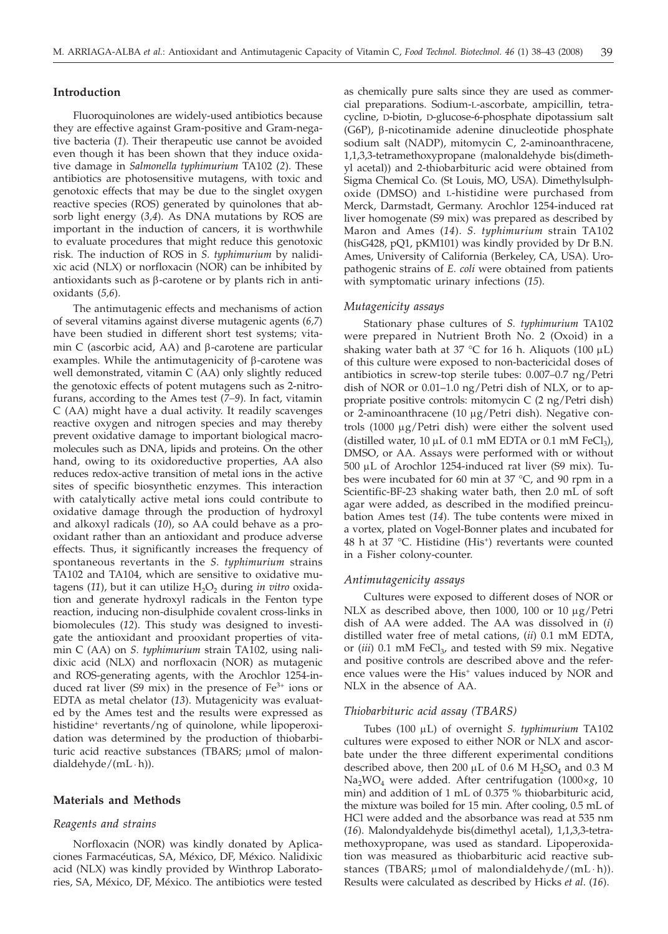#### **Introduction**

Fluoroquinolones are widely-used antibiotics because they are effective against Gram-positive and Gram-negative bacteria (*1*). Their therapeutic use cannot be avoided even though it has been shown that they induce oxidative damage in *Salmonella typhimurium* TA102 (*2*). These antibiotics are photosensitive mutagens, with toxic and genotoxic effects that may be due to the singlet oxygen reactive species (ROS) generated by quinolones that absorb light energy (*3,4*). As DNA mutations by ROS are important in the induction of cancers, it is worthwhile to evaluate procedures that might reduce this genotoxic risk. The induction of ROS in *S. typhimurium* by nalidixic acid (NLX) or norfloxacin (NOR) can be inhibited by antioxidants such as  $\beta$ -carotene or by plants rich in antioxidants (*5,6*).

The antimutagenic effects and mechanisms of action of several vitamins against diverse mutagenic agents (*6,7*) have been studied in different short test systems; vitamin C (ascorbic acid,  $AA$ ) and  $\beta$ -carotene are particular examples. While the antimutagenicity of  $\beta$ -carotene was well demonstrated, vitamin C (AA) only slightly reduced the genotoxic effects of potent mutagens such as 2-nitrofurans, according to the Ames test (*7–9*). In fact, vitamin C (AA) might have a dual activity. It readily scavenges reactive oxygen and nitrogen species and may thereby prevent oxidative damage to important biological macromolecules such as DNA, lipids and proteins. On the other hand, owing to its oxidoreductive properties, AA also reduces redox-active transition of metal ions in the active sites of specific biosynthetic enzymes. This interaction with catalytically active metal ions could contribute to oxidative damage through the production of hydroxyl and alkoxyl radicals (*10*), so AA could behave as a prooxidant rather than an antioxidant and produce adverse effects. Thus, it significantly increases the frequency of spontaneous revertants in the *S. typhimurium* strains TA102 and TA104, which are sensitive to oxidative mutagens (11), but it can utilize H<sub>2</sub>O<sub>2</sub> during *in vitro* oxidation and generate hydroxyl radicals in the Fenton type reaction, inducing non-disulphide covalent cross-links in biomolecules (*12*). This study was designed to investigate the antioxidant and prooxidant properties of vitamin C (AA) on *S. typhimurium* strain TA102, using nalidixic acid (NLX) and norfloxacin (NOR) as mutagenic and ROS-generating agents, with the Arochlor 1254-induced rat liver (S9 mix) in the presence of  $Fe<sup>3+</sup>$  ions or EDTA as metal chelator (*13*). Mutagenicity was evaluated by the Ames test and the results were expressed as histidine<sup>+</sup> revertants/ng of quinolone, while lipoperoxidation was determined by the production of thiobarbituric acid reactive substances (TBARS;  $\mu$ mol of malondialdehyde/( $mL \cdot h$ )).

# **Materials and Methods**

### *Reagents and strains*

Norfloxacin (NOR) was kindly donated by Aplicaciones Farmacéuticas, SA, México, DF, México. Nalidixic acid (NLX) was kindly provided by Winthrop Laboratories, SA, México, DF, México. The antibiotics were tested

as chemically pure salts since they are used as commercial preparations. Sodium-L-ascorbate, ampicillin, tetracycline, D-biotin, D-glucose-6-phosphate dipotassium salt (G6P), b-nicotinamide adenine dinucleotide phosphate sodium salt (NADP), mitomycin C, 2-aminoanthracene, 1,1,3,3-tetramethoxypropane (malonaldehyde bis(dimethyl acetal)) and 2-thiobarbituric acid were obtained from Sigma Chemical Co. (St Louis, MO, USA). Dimethylsulphoxide (DMSO) and L-histidine were purchased from Merck, Darmstadt, Germany. Arochlor 1254-induced rat liver homogenate (S9 mix) was prepared as described by Maron and Ames (*14*). *S. typhimurium* strain TA102 (hisG428, pQ1, pKM101) was kindly provided by Dr B.N. Ames, University of California (Berkeley, CA, USA). Uropathogenic strains of *E. coli* were obtained from patients with symptomatic urinary infections (*15*).

#### *Mutagenicity assays*

Stationary phase cultures of *S. typhimurium* TA102 were prepared in Nutrient Broth No. 2 (Oxoid) in a shaking water bath at 37 °C for 16 h. Aliquots (100  $\mu$ L) of this culture were exposed to non-bactericidal doses of antibiotics in screw-top sterile tubes: 0.007–0.7 ng/Petri dish of NOR or 0.01–1.0 ng/Petri dish of NLX, or to appropriate positive controls: mitomycin C (2 ng/Petri dish) or 2-aminoanthracene (10  $\mu$ g/Petri dish). Negative controls (1000 mg/Petri dish) were either the solvent used (distilled water,  $10 \mu L$  of 0.1 mM EDTA or 0.1 mM FeCl<sub>3</sub>), DMSO, or AA. Assays were performed with or without 500 mL of Arochlor 1254-induced rat liver (S9 mix). Tubes were incubated for 60 min at 37 °C, and 90 rpm in a Scientific-BF-23 shaking water bath, then 2.0 mL of soft agar were added, as described in the modified preincubation Ames test (*14*). The tube contents were mixed in a vortex, plated on Vogel-Bonner plates and incubated for 48 h at  $37$  °C. Histidine (His<sup>+</sup>) revertants were counted in a Fisher colony-counter.

#### *Antimutagenicity assays*

Cultures were exposed to different doses of NOR or NLX as described above, then 1000, 100 or 10  $\mu$ g/Petri dish of AA were added. The AA was dissolved in (*i*) distilled water free of metal cations, (*ii*) 0.1 mM EDTA, or (*iii*) 0.1 mM FeCl<sub>3</sub>, and tested with S9 mix. Negative and positive controls are described above and the reference values were the His<sup>+</sup> values induced by NOR and NLX in the absence of AA.

#### *Thiobarbituric acid assay (TBARS)*

Tubes (100 mL) of overnight *S. typhimurium* TA102 cultures were exposed to either NOR or NLX and ascorbate under the three different experimental conditions described above, then 200  $\mu$ L of 0.6 M H<sub>2</sub>SO<sub>4</sub> and 0.3 M Na2WO4 were added. After centrifugation (1000×*g*, 10 min) and addition of 1 mL of 0.375 % thiobarbituric acid, the mixture was boiled for 15 min. After cooling, 0.5 mL of HCl were added and the absorbance was read at 535 nm (*16*). Malondyaldehyde bis(dimethyl acetal), 1,1,3,3-tetramethoxypropane, was used as standard. Lipoperoxidation was measured as thiobarbituric acid reactive substances (TBARS;  $\mu$ mol of malondialdehyde/(mL  $\cdot$  h)). Results were calculated as described by Hicks *et al*. (*16*).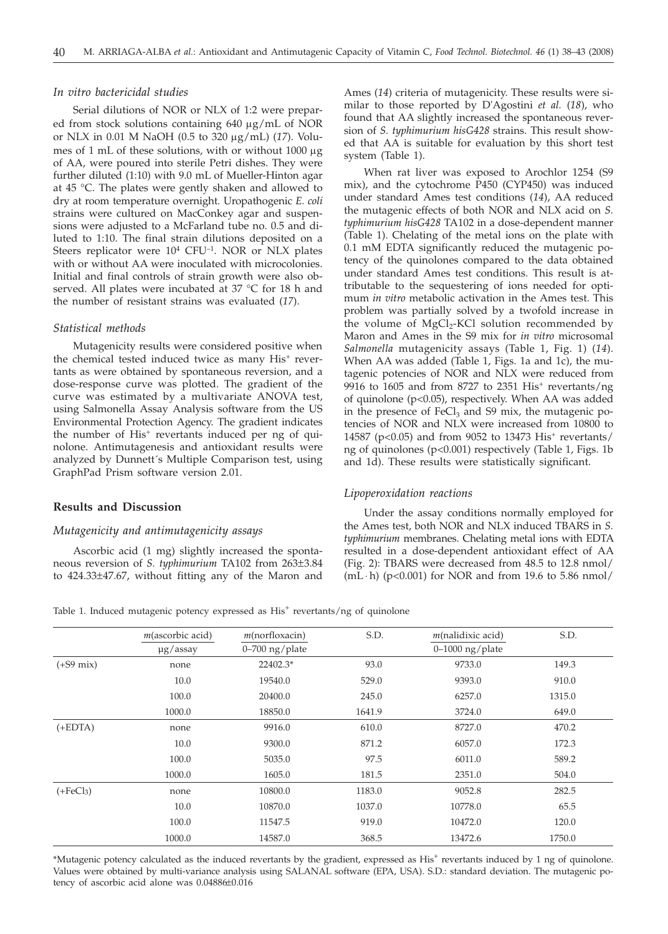## *In vitro bactericidal studies*

Serial dilutions of NOR or NLX of 1:2 were prepared from stock solutions containing  $640 \mu g/mL$  of NOR or NLX in 0.01 M NaOH (0.5 to 320 mg/mL) (*17*). Volumes of 1 mL of these solutions, with or without  $1000 \mu g$ of AA, were poured into sterile Petri dishes. They were further diluted (1:10) with 9.0 mL of Mueller-Hinton agar at 45 °C. The plates were gently shaken and allowed to dry at room temperature overnight. Uropathogenic *E. coli* strains were cultured on MacConkey agar and suspensions were adjusted to a McFarland tube no. 0.5 and diluted to 1:10. The final strain dilutions deposited on a Steers replicator were  $10^4$  CFU<sup>-1</sup>. NOR or NLX plates with or without AA were inoculated with microcolonies. Initial and final controls of strain growth were also observed. All plates were incubated at 37 °C for 18 h and the number of resistant strains was evaluated (*17*).

#### *Statistical methods*

Mutagenicity results were considered positive when the chemical tested induced twice as many His<sup>+</sup> revertants as were obtained by spontaneous reversion, and a dose-response curve was plotted. The gradient of the curve was estimated by a multivariate ANOVA test, using Salmonella Assay Analysis software from the US Environmental Protection Agency. The gradient indicates the number of His<sup>+</sup> revertants induced per ng of quinolone. Antimutagenesis and antioxidant results were analyzed by Dunnett´s Multiple Comparison test, using GraphPad Prism software version 2.01.

# **Results and Discussion**

#### *Mutagenicity and antimutagenicity assays*

Ascorbic acid (1 mg) slightly increased the spontaneous reversion of *S. typhimurium* TA102 from 263±3.84 to 424.33±47.67, without fitting any of the Maron and Ames (*14*) criteria of mutagenicity. These results were similar to those reported by D'Agostini *et al.* (*18*), who found that AA slightly increased the spontaneous reversion of *S. typhimurium hisG428* strains. This result showed that AA is suitable for evaluation by this short test system (Table 1).

When rat liver was exposed to Arochlor 1254 (S9 mix), and the cytochrome P450 (CYP450) was induced under standard Ames test conditions (*14*), AA reduced the mutagenic effects of both NOR and NLX acid on *S. typhimurium hisG428* TA102 in a dose-dependent manner (Table 1). Chelating of the metal ions on the plate with 0.1 mM EDTA significantly reduced the mutagenic potency of the quinolones compared to the data obtained under standard Ames test conditions. This result is attributable to the sequestering of ions needed for optimum *in vitro* metabolic activation in the Ames test. This problem was partially solved by a twofold increase in the volume of  $MgCl<sub>2</sub>$ -KCl solution recommended by Maron and Ames in the S9 mix for *in vitro* microsomal *Salmonella* mutagenicity assays (Table 1, Fig. 1) (*14*). When AA was added (Table 1, Figs. 1a and 1c), the mutagenic potencies of NOR and NLX were reduced from 9916 to 1605 and from 8727 to 2351 His<sup>+</sup> revertants/ng of quinolone (p<0.05), respectively. When AA was added in the presence of  $FeCl<sub>3</sub>$  and S9 mix, the mutagenic potencies of NOR and NLX were increased from 10800 to 14587 (p<0.05) and from 9052 to 13473 His<sup>+</sup> revertants/ ng of quinolones (p<0.001) respectively (Table 1, Figs. 1b and 1d). These results were statistically significant.

#### *Lipoperoxidation reactions*

Under the assay conditions normally employed for the Ames test, both NOR and NLX induced TBARS in *S. typhimurium* membranes. Chelating metal ions with EDTA resulted in a dose-dependent antioxidant effect of AA (Fig. 2): TBARS were decreased from 48.5 to 12.8 nmol/ (mL ⋅ h) (p<0.001) for NOR and from 19.6 to 5.86 nmol/

Table 1. Induced mutagenic potency expressed as  $\text{His}^+$  revertants/ng of quinolone

|                     | $m$ (ascorbic acid) | $m$ (norfloxacin)  | S.D.   | $m$ (nalidixic acid) | S.D.   |
|---------------------|---------------------|--------------------|--------|----------------------|--------|
|                     | $\mu$ g/assay       | $0 - 700$ ng/plate |        | $0-1000$ ng/plate    |        |
| $(+59 \text{ mix})$ | none                | 22402.3*           | 93.0   | 9733.0               | 149.3  |
|                     | 10.0                | 19540.0            | 529.0  | 9393.0               | 910.0  |
|                     | 100.0               | 20400.0            | 245.0  | 6257.0               | 1315.0 |
|                     | 1000.0              | 18850.0            | 1641.9 | 3724.0               | 649.0  |
| $(+EDTA)$           | none                | 9916.0             | 610.0  | 8727.0               | 470.2  |
|                     | 10.0                | 9300.0             | 871.2  | 6057.0               | 172.3  |
|                     | 100.0               | 5035.0             | 97.5   | 6011.0               | 589.2  |
|                     | 1000.0              | 1605.0             | 181.5  | 2351.0               | 504.0  |
| $(+FeCl3)$          | none                | 10800.0            | 1183.0 | 9052.8               | 282.5  |
|                     | 10.0                | 10870.0            | 1037.0 | 10778.0              | 65.5   |
|                     | 100.0               | 11547.5            | 919.0  | 10472.0              | 120.0  |
|                     | 1000.0              | 14587.0            | 368.5  | 13472.6              | 1750.0 |

\*Mutagenic potency calculated as the induced revertants by the gradient, expressed as His+ revertants induced by 1 ng of quinolone. Values were obtained by multi-variance analysis using SALANAL software (EPA, USA). S.D.: standard deviation. The mutagenic potency of ascorbic acid alone was 0.04886±0.016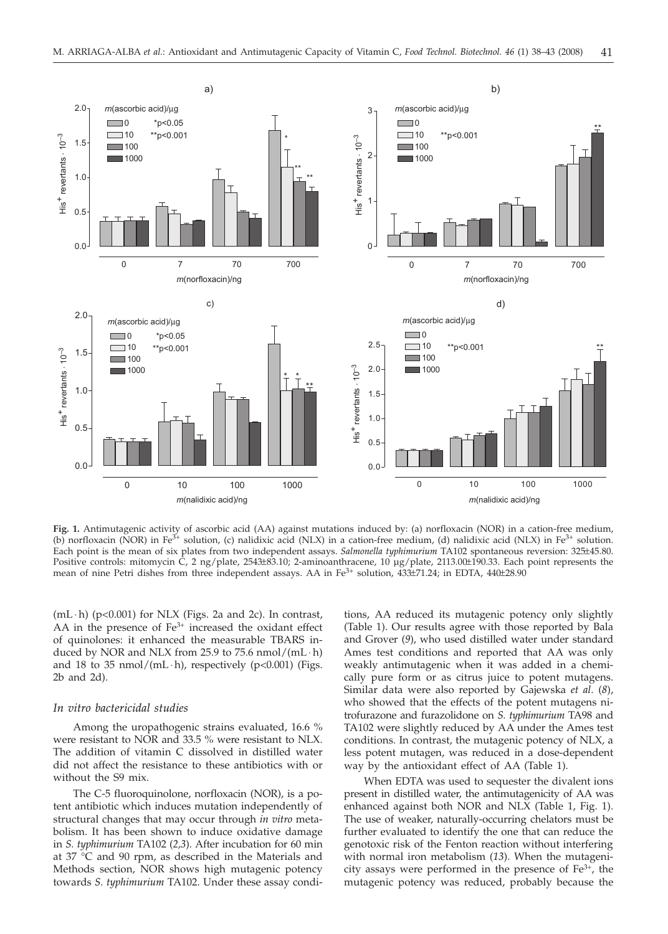

**Fig. 1.** Antimutagenic activity of ascorbic acid (AA) against mutations induced by: (a) norfloxacin (NOR) in a cation-free medium, (b) norfloxacin (NOR) in Fe<sup>3+</sup> solution, (c) nalidixic acid (NLX) in a cation-free medium, (d) nalidixic acid (NLX) in Fe<sup>3+</sup> solution. Each point is the mean of six plates from two independent assays. *Salmonella typhimurium* TA102 spontaneous reversion: 325±45.80. Positive controls: mitomycin C, 2 ng/plate, 2543±83.10; 2-aminoanthracene, 10 µg/plate, 2113.00±190.33. Each point represents the mean of nine Petri dishes from three independent assays. AA in  $Fe<sup>3+</sup>$  solution,  $433±71.24$ ; in EDTA,  $440±28.90$ 

(mL ⋅ h) (p<0.001) for NLX (Figs. 2a and 2c). In contrast, AA in the presence of  $Fe<sup>3+</sup>$  increased the oxidant effect of quinolones: it enhanced the measurable TBARS induced by NOR and NLX from 25.9 to 75.6 nmol/(mL  $\cdot$  h) and 18 to 35 nmol/(mL  $\cdot$  h), respectively (p<0.001) (Figs. 2b and 2d).

#### *In vitro bactericidal studies*

Among the uropathogenic strains evaluated, 16.6 % were resistant to NOR and 33.5 % were resistant to NLX. The addition of vitamin C dissolved in distilled water did not affect the resistance to these antibiotics with or without the S9 mix.

The C-5 fluoroquinolone, norfloxacin (NOR), is a potent antibiotic which induces mutation independently of structural changes that may occur through *in vitro* metabolism. It has been shown to induce oxidative damage in *S. typhimurium* TA102 (*2,3*). After incubation for 60 min at 37 °C and 90 rpm, as described in the Materials and Methods section, NOR shows high mutagenic potency towards *S. typhimurium* TA102. Under these assay conditions, AA reduced its mutagenic potency only slightly (Table 1). Our results agree with those reported by Bala and Grover (*9*), who used distilled water under standard Ames test conditions and reported that AA was only weakly antimutagenic when it was added in a chemically pure form or as citrus juice to potent mutagens. Similar data were also reported by Gajewska *et al*. (*8*), who showed that the effects of the potent mutagens nitrofurazone and furazolidone on *S. typhimurium* TA98 and TA102 were slightly reduced by AA under the Ames test conditions. In contrast, the mutagenic potency of NLX, a less potent mutagen, was reduced in a dose-dependent way by the antioxidant effect of AA (Table 1).

When EDTA was used to sequester the divalent ions present in distilled water, the antimutagenicity of AA was enhanced against both NOR and NLX (Table 1, Fig. 1). The use of weaker, naturally-occurring chelators must be further evaluated to identify the one that can reduce the genotoxic risk of the Fenton reaction without interfering with normal iron metabolism (*13*). When the mutagenicity assays were performed in the presence of  $Fe<sup>3+</sup>$ , the mutagenic potency was reduced, probably because the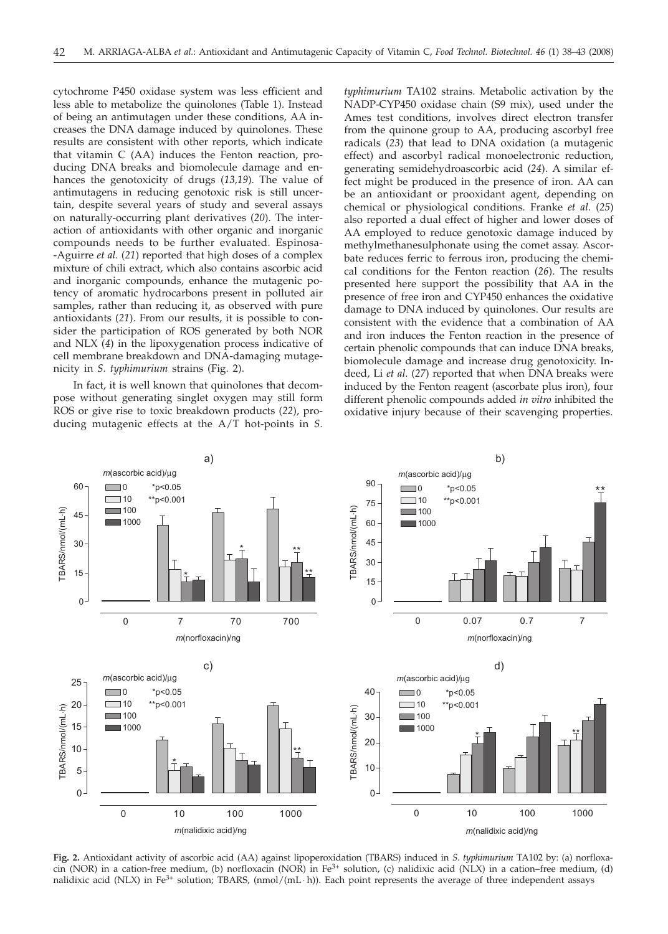cytochrome P450 oxidase system was less efficient and less able to metabolize the quinolones (Table 1). Instead of being an antimutagen under these conditions, AA increases the DNA damage induced by quinolones. These results are consistent with other reports, which indicate that vitamin C (AA) induces the Fenton reaction, producing DNA breaks and biomolecule damage and enhances the genotoxicity of drugs (*13,19*). The value of antimutagens in reducing genotoxic risk is still uncertain, despite several years of study and several assays on naturally-occurring plant derivatives (*20*). The interaction of antioxidants with other organic and inorganic compounds needs to be further evaluated. Espinosa- -Aguirre *et al*. (*21*) reported that high doses of a complex mixture of chili extract, which also contains ascorbic acid and inorganic compounds, enhance the mutagenic potency of aromatic hydrocarbons present in polluted air samples, rather than reducing it, as observed with pure antioxidants (*21*). From our results, it is possible to consider the participation of ROS generated by both NOR and NLX (*4*) in the lipoxygenation process indicative of cell membrane breakdown and DNA-damaging mutagenicity in *S. typhimurium* strains (Fig. 2).

In fact, it is well known that quinolones that decompose without generating singlet oxygen may still form ROS or give rise to toxic breakdown products (*22*), producing mutagenic effects at the A/T hot-points in *S.*

*typhimurium* TA102 strains. Metabolic activation by the NADP-CYP450 oxidase chain (S9 mix), used under the Ames test conditions, involves direct electron transfer from the quinone group to AA, producing ascorbyl free radicals (*23*) that lead to DNA oxidation (a mutagenic effect) and ascorbyl radical monoelectronic reduction, generating semidehydroascorbic acid (*24*). A similar effect might be produced in the presence of iron. AA can be an antioxidant or prooxidant agent, depending on chemical or physiological conditions. Franke *et al*. (*25*) also reported a dual effect of higher and lower doses of AA employed to reduce genotoxic damage induced by methylmethanesulphonate using the comet assay. Ascorbate reduces ferric to ferrous iron, producing the chemical conditions for the Fenton reaction (*26*). The results presented here support the possibility that AA in the presence of free iron and CYP450 enhances the oxidative damage to DNA induced by quinolones. Our results are consistent with the evidence that a combination of AA and iron induces the Fenton reaction in the presence of certain phenolic compounds that can induce DNA breaks, biomolecule damage and increase drug genotoxicity. Indeed, Li *et al*. (*27*) reported that when DNA breaks were induced by the Fenton reagent (ascorbate plus iron), four different phenolic compounds added *in vitro* inhibited the oxidative injury because of their scavenging properties.



**Fig. 2.** Antioxidant activity of ascorbic acid (AA) against lipoperoxidation (TBARS) induced in *S. typhimurium* TA102 by: (a) norfloxacin (NOR) in a cation-free medium, (b) norfloxacin (NOR) in Fe<sup>3+</sup> solution, (c) nalidixic acid (NLX) in a cation-free medium, (d) nalidixic acid (NLX) in Fe<sup>3+</sup> solution; TBARS, (nmol/(mL⋅h)). Each point represents the average of three independent assays